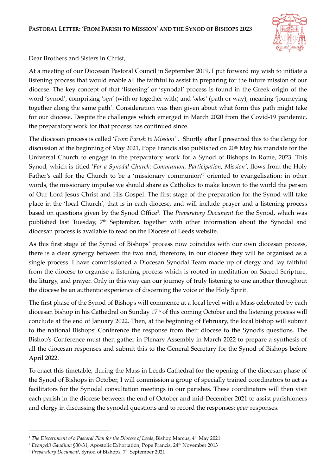

Dear Brothers and Sisters in Christ,

At a meeting of our Diocesan Pastoral Council in September 2019, I put forward my wish to initiate a listening process that would enable all the faithful to assist in preparing for the future mission of our diocese. The key concept of that 'listening' or 'synodal' process is found in the Greek origin of the word 'synod', comprising '*syn*' (with or together with) and '*odos'* (path or way), meaning 'journeying together along the same path'. Consideration was then given about what form this path might take for our diocese. Despite the challenges which emerged in March 2020 from the Covid-19 pandemic, the preparatory work for that process has continued since.

The diocesan process is called '*From Parish to Mission*' 1 . Shortly after I presented this to the clergy for discussion at the beginning of May 2021, Pope Francis also published on 20<sup>th</sup> May his mandate for the Universal Church to engage in the preparatory work for a Synod of Bishops in Rome, 2023. This Synod, which is titled '*For a Synodal Church: Communion, Participation, Mission'*, flows from the Holy Father's call for the Church to be a 'missionary communion' <sup>2</sup> oriented to evangelisation: in other words, the missionary impulse we should share as Catholics to make known to the world the person of Our Lord Jesus Christ and His Gospel. The first stage of the preparation for the Synod will take place in the 'local Church', that is in each diocese, and will include prayer and a listening process based on questions given by the Synod Office<sup>3</sup> . The *Preparatory Document* for the Synod, which was published last Tuesday, 7<sup>th</sup> September, together with other information about the Synodal and diocesan process is available to read on the Diocese of Leeds website.

As this first stage of the Synod of Bishops' process now coincides with our own diocesan process, there is a clear synergy between the two and, therefore, in our diocese they will be organised as a single process. I have commissioned a Diocesan Synodal Team made up of clergy and lay faithful from the diocese to organise a listening process which is rooted in meditation on Sacred Scripture, the liturgy, and prayer. Only in this way can our journey of truly listening to one another throughout the diocese be an authentic experience of discerning the voice of the Holy Spirit.

The first phase of the Synod of Bishops will commence at a local level with a Mass celebrated by each diocesan bishop in his Cathedral on Sunday 17th of this coming October and the listening process will conclude at the end of January 2022. Then, at the beginning of February, the local bishop will submit to the national Bishops' Conference the response from their diocese to the Synod's questions. The Bishop's Conference must then gather in Plenary Assembly in March 2022 to prepare a synthesis of all the diocesan responses and submit this to the General Secretary for the Synod of Bishops before April 2022.

To enact this timetable, during the Mass in Leeds Cathedral for the opening of the diocesan phase of the Synod of Bishops in October, I will commission a group of specially trained coordinators to act as facilitators for the Synodal consultation meetings in our parishes. These coordinators will then visit each parish in the diocese between the end of October and mid-December 2021 to assist parishioners and clergy in discussing the synodal questions and to record the responses: *your* responses.

<sup>&</sup>lt;sup>1</sup> The Discernment of a Pastoral Plan for the Diocese of Leeds, Bishop Marcus, 4th May 2021

<sup>&</sup>lt;sup>2</sup> Evangelii Gaudium §30-31, Apostolic Exhortation, Pope Francis, 24<sup>th</sup> November 2013

<sup>&</sup>lt;sup>3</sup> Preparatory Document, Synod of Bishops, 7<sup>th</sup> September 2021